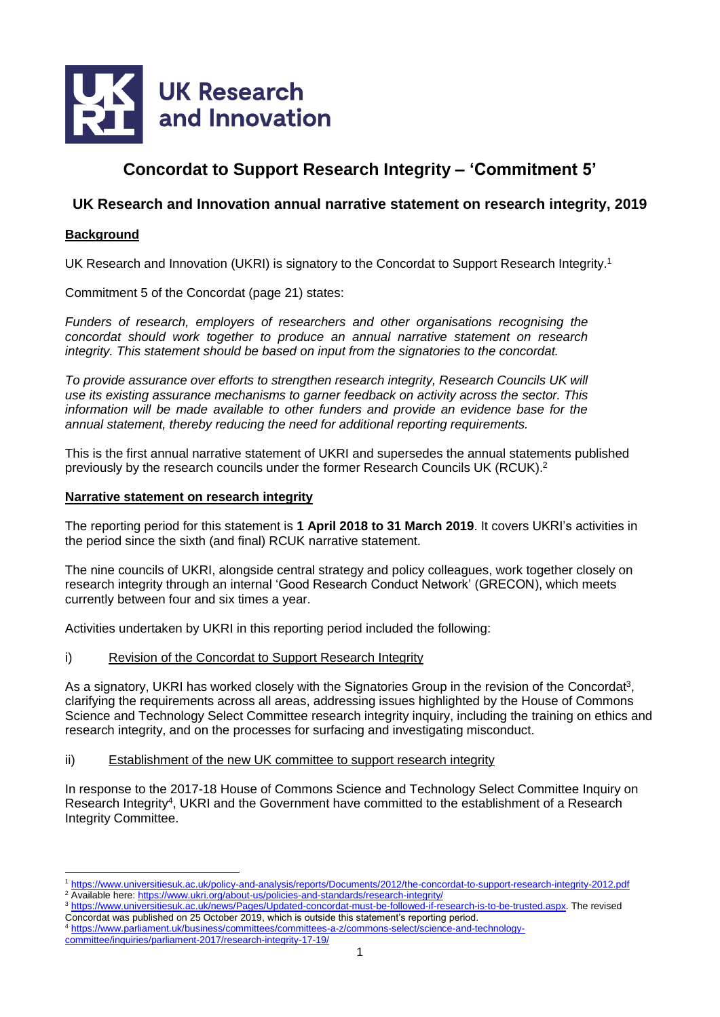

# **Concordat to Support Research Integrity – 'Commitment 5'**

## **UK Research and Innovation annual narrative statement on research integrity, 2019**

### **Background**

 $\overline{a}$ 

UK Research and Innovation (UKRI) is signatory to the Concordat to Support Research Integrity.<sup>1</sup>

Commitment 5 of the Concordat (page 21) states:

*Funders of research, employers of researchers and other organisations recognising the concordat should work together to produce an annual narrative statement on research integrity. This statement should be based on input from the signatories to the concordat.*

*To provide assurance over efforts to strengthen research integrity, Research Councils UK will use its existing assurance mechanisms to garner feedback on activity across the sector. This information will be made available to other funders and provide an evidence base for the annual statement, thereby reducing the need for additional reporting requirements.*

This is the first annual narrative statement of UKRI and supersedes the annual statements published previously by the research councils under the former Research Councils UK (RCUK).<sup>2</sup>

#### **Narrative statement on research integrity**

The reporting period for this statement is **1 April 2018 to 31 March 2019**. It covers UKRI's activities in the period since the sixth (and final) RCUK narrative statement.

The nine councils of UKRI, alongside central strategy and policy colleagues, work together closely on research integrity through an internal 'Good Research Conduct Network' (GRECON), which meets currently between four and six times a year.

Activities undertaken by UKRI in this reporting period included the following:

i) Revision of the Concordat to Support Research Integrity

As a signatory, UKRI has worked closely with the Signatories Group in the revision of the Concordat<sup>3</sup>, clarifying the requirements across all areas, addressing issues highlighted by the House of Commons Science and Technology Select Committee research integrity inquiry, including the training on ethics and research integrity, and on the processes for surfacing and investigating misconduct.

#### ii) Establishment of the new UK committee to support research integrity

In response to the 2017-18 House of Commons Science and Technology Select Committee Inquiry on Research Integrity<sup>4</sup>, UKRI and the Government have committed to the establishment of a Research Integrity Committee.

<sup>1</sup> <https://www.universitiesuk.ac.uk/policy-and-analysis/reports/Documents/2012/the-concordat-to-support-research-integrity-2012.pdf> <sup>2</sup> Available here:<https://www.ukri.org/about-us/policies-and-standards/research-integrity/>

<sup>3</sup> [https://www.universitiesuk.ac.uk/news/Pages/Updated-concordat-must-be-followed-if-research-is-to-be-trusted.aspx.](https://www.universitiesuk.ac.uk/news/Pages/Updated-concordat-must-be-followed-if-research-is-to-be-trusted.aspx) The revised Concordat was published on 25 October 2019, which is outside this statement's reporting period.

<sup>4</sup> [https://www.parliament.uk/business/committees/committees-a-z/commons-select/science-and-technology](https://www.parliament.uk/business/committees/committees-a-z/commons-select/science-and-technology-committee/inquiries/parliament-2017/research-integrity-17-19/)[committee/inquiries/parliament-2017/research-integrity-17-19/](https://www.parliament.uk/business/committees/committees-a-z/commons-select/science-and-technology-committee/inquiries/parliament-2017/research-integrity-17-19/)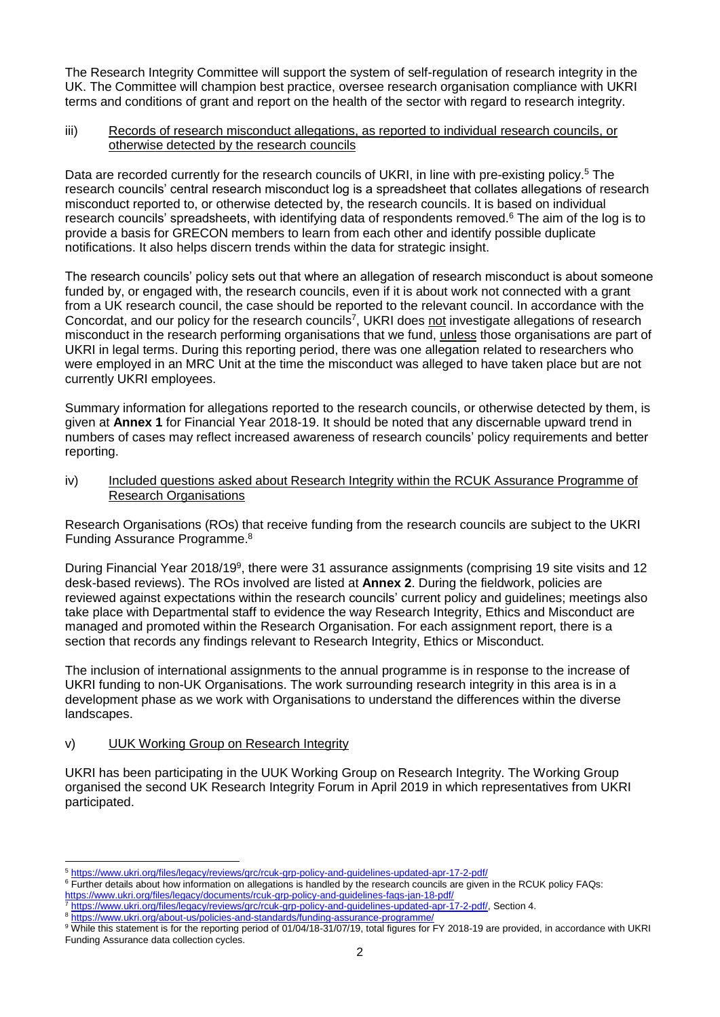The Research Integrity Committee will support the system of self-regulation of research integrity in the UK. The Committee will champion best practice, oversee research organisation compliance with UKRI terms and conditions of grant and report on the health of the sector with regard to research integrity.

#### iii) Records of research misconduct allegations, as reported to individual research councils, or otherwise detected by the research councils

Data are recorded currently for the research councils of UKRI, in line with pre-existing policy.<sup>5</sup> The research councils' central research misconduct log is a spreadsheet that collates allegations of research misconduct reported to, or otherwise detected by, the research councils. It is based on individual research councils' spreadsheets, with identifying data of respondents removed.<sup>6</sup> The aim of the log is to provide a basis for GRECON members to learn from each other and identify possible duplicate notifications. It also helps discern trends within the data for strategic insight.

The research councils' policy sets out that where an allegation of research misconduct is about someone funded by, or engaged with, the research councils, even if it is about work not connected with a grant from a UK research council, the case should be reported to the relevant council. In accordance with the Concordat, and our policy for the research councils<sup>7</sup>, UKRI does not investigate allegations of research misconduct in the research performing organisations that we fund, unless those organisations are part of UKRI in legal terms. During this reporting period, there was one allegation related to researchers who were employed in an MRC Unit at the time the misconduct was alleged to have taken place but are not currently UKRI employees.

Summary information for allegations reported to the research councils, or otherwise detected by them, is given at **Annex 1** for Financial Year 2018-19. It should be noted that any discernable upward trend in numbers of cases may reflect increased awareness of research councils' policy requirements and better reporting.

iv) Included questions asked about Research Integrity within the RCUK Assurance Programme of Research Organisations

Research Organisations (ROs) that receive funding from the research councils are subject to the UKRI Funding Assurance Programme. 8

During Financial Year 2018/19<sup>9</sup>, there were 31 assurance assignments (comprising 19 site visits and 12 desk-based reviews). The ROs involved are listed at **Annex 2**. During the fieldwork, policies are reviewed against expectations within the research councils' current policy and guidelines; meetings also take place with Departmental staff to evidence the way Research Integrity, Ethics and Misconduct are managed and promoted within the Research Organisation. For each assignment report, there is a section that records any findings relevant to Research Integrity, Ethics or Misconduct.

The inclusion of international assignments to the annual programme is in response to the increase of UKRI funding to non-UK Organisations. The work surrounding research integrity in this area is in a development phase as we work with Organisations to understand the differences within the diverse landscapes.

#### v) UUK Working Group on Research Integrity

 $\overline{a}$ 

UKRI has been participating in the UUK Working Group on Research Integrity. The Working Group organised the second UK Research Integrity Forum in April 2019 in which representatives from UKRI participated.

<sup>5</sup> <https://www.ukri.org/files/legacy/reviews/grc/rcuk-grp-policy-and-guidelines-updated-apr-17-2-pdf/>

<sup>6</sup> Further details about how information on allegations is handled by the research councils are given in the RCUK policy FAQs: https://www.ukri.org/files/legacy/documents/rcuk-grp-policy-and-guidelines-fags-jan-18-pdf/

<sup>7</sup> [https://www.ukri.org/files/legacy/reviews/grc/rcuk-grp-policy-and-guidelines-updated-apr-17-2-pdf/,](https://www.ukri.org/files/legacy/reviews/grc/rcuk-grp-policy-and-guidelines-updated-apr-17-2-pdf/) Section 4.

<sup>8</sup> <https://www.ukri.org/about-us/policies-and-standards/funding-assurance-programme/>

<sup>&</sup>lt;sup>9</sup> While this statement is for the reporting period of 01/04/18-31/07/19, total figures for FY 2018-19 are provided, in accordance with UKRI Funding Assurance data collection cycles.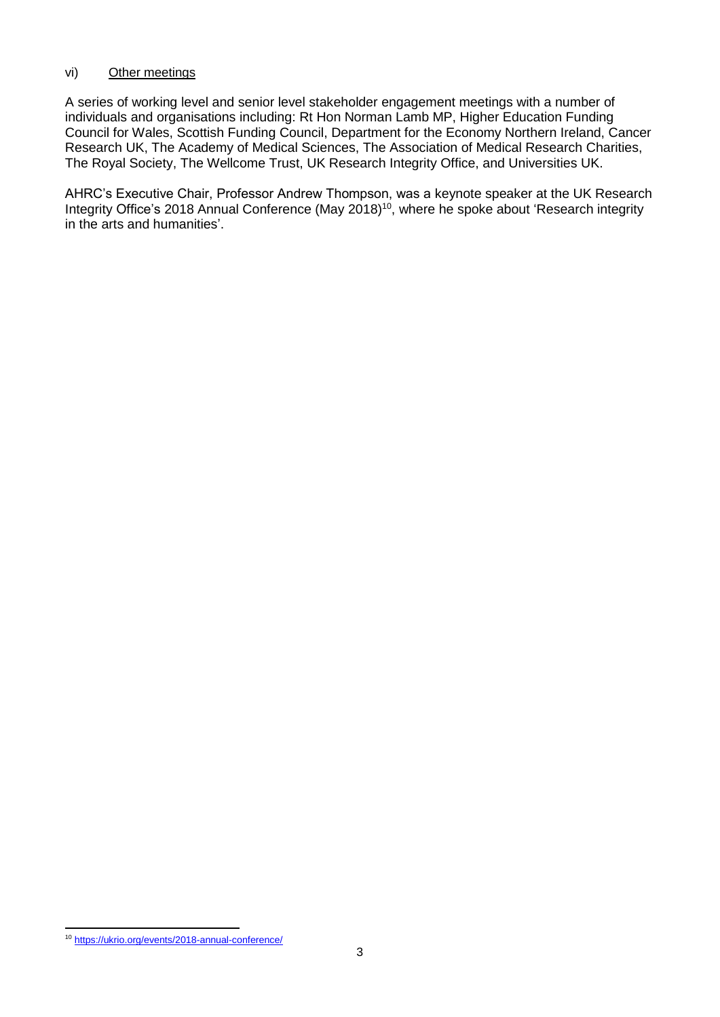## vi) Other meetings

A series of working level and senior level stakeholder engagement meetings with a number of individuals and organisations including: Rt Hon Norman Lamb MP, Higher Education Funding Council for Wales, Scottish Funding Council, Department for the Economy Northern Ireland, Cancer Research UK, The Academy of Medical Sciences, The Association of Medical Research Charities, The Royal Society, The Wellcome Trust, UK Research Integrity Office, and Universities UK.

AHRC's Executive Chair, Professor Andrew Thompson, was a keynote speaker at the UK Research Integrity Office's 2018 Annual Conference (May 2018)<sup>10</sup>, where he spoke about 'Research integrity in the arts and humanities'.

 $\overline{a}$ <sup>10</sup> <https://ukrio.org/events/2018-annual-conference/>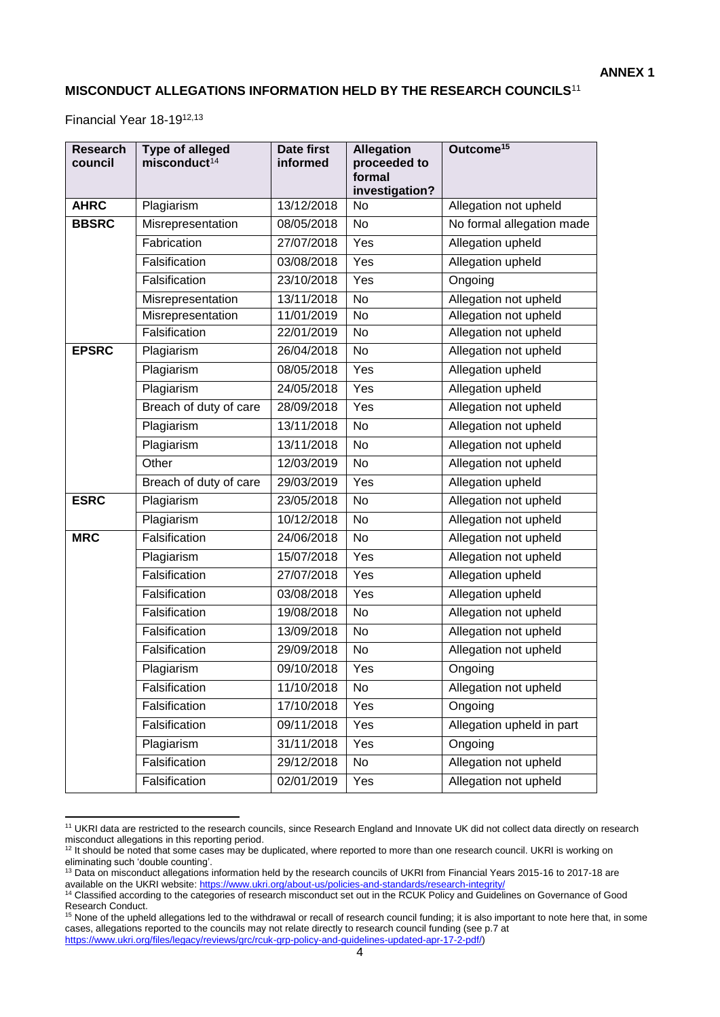## **MISCONDUCT ALLEGATIONS INFORMATION HELD BY THE RESEARCH COUNCILS**<sup>11</sup>

Financial Year 18-1912,13

| <b>Research</b><br>council | <b>Type of alleged</b><br>misconduct <sup>14</sup> | <b>Date first</b><br>informed | <b>Allegation</b><br>proceeded to<br>formal | Outcome <sup>15</sup>     |
|----------------------------|----------------------------------------------------|-------------------------------|---------------------------------------------|---------------------------|
|                            |                                                    |                               | investigation?                              |                           |
| <b>AHRC</b>                | Plagiarism                                         | 13/12/2018                    | No                                          | Allegation not upheld     |
| <b>BBSRC</b>               | Misrepresentation                                  | 08/05/2018                    | No                                          | No formal allegation made |
|                            | Fabrication                                        | 27/07/2018                    | Yes                                         | Allegation upheld         |
|                            | Falsification                                      | 03/08/2018                    | Yes                                         | Allegation upheld         |
|                            | Falsification                                      | 23/10/2018                    | Yes                                         | Ongoing                   |
|                            | Misrepresentation                                  | 13/11/2018                    | <b>No</b>                                   | Allegation not upheld     |
|                            | Misrepresentation                                  | 11/01/2019                    | No                                          | Allegation not upheld     |
|                            | Falsification                                      | 22/01/2019                    | No                                          | Allegation not upheld     |
| <b>EPSRC</b>               | Plagiarism                                         | 26/04/2018                    | No                                          | Allegation not upheld     |
|                            | Plagiarism                                         | 08/05/2018                    | Yes                                         | Allegation upheld         |
|                            | Plagiarism                                         | 24/05/2018                    | Yes                                         | Allegation upheld         |
|                            | Breach of duty of care                             | 28/09/2018                    | Yes                                         | Allegation not upheld     |
|                            | Plagiarism                                         | 13/11/2018                    | No                                          | Allegation not upheld     |
|                            | Plagiarism                                         | 13/11/2018                    | No                                          | Allegation not upheld     |
|                            | Other                                              | 12/03/2019                    | No                                          | Allegation not upheld     |
|                            | Breach of duty of care                             | 29/03/2019                    | Yes                                         | Allegation upheld         |
| <b>ESRC</b>                | Plagiarism                                         | 23/05/2018                    | No                                          | Allegation not upheld     |
|                            | Plagiarism                                         | 10/12/2018                    | No                                          | Allegation not upheld     |
| <b>MRC</b>                 | Falsification                                      | 24/06/2018                    | No                                          | Allegation not upheld     |
|                            | Plagiarism                                         | 15/07/2018                    | Yes                                         | Allegation not upheld     |
|                            | Falsification                                      | 27/07/2018                    | Yes                                         | Allegation upheld         |
|                            | Falsification                                      | 03/08/2018                    | Yes                                         | Allegation upheld         |
|                            | Falsification                                      | 19/08/2018                    | No                                          | Allegation not upheld     |
|                            | Falsification                                      | 13/09/2018                    | No                                          | Allegation not upheld     |
|                            | Falsification                                      | 29/09/2018                    | No                                          | Allegation not upheld     |
|                            | Plagiarism                                         | 09/10/2018                    | Yes                                         | Ongoing                   |
|                            | Falsification                                      | 11/10/2018                    | No                                          | Allegation not upheld     |
|                            | Falsification                                      | 17/10/2018                    | Yes                                         | Ongoing                   |
|                            | Falsification                                      | 09/11/2018                    | Yes                                         | Allegation upheld in part |
|                            | Plagiarism                                         | 31/11/2018                    | Yes                                         | Ongoing                   |
|                            | Falsification                                      | 29/12/2018                    | No                                          | Allegation not upheld     |
|                            | Falsification                                      | 02/01/2019                    | Yes                                         | Allegation not upheld     |

<sup>11</sup> UKRI data are restricted to the research councils, since Research England and Innovate UK did not collect data directly on research misconduct allegations in this reporting period.

<sup>&</sup>lt;sup>12</sup> It should be noted that some cases may be duplicated, where reported to more than one research council. UKRI is working on eliminating such 'double counting'.

<sup>&</sup>lt;sup>13</sup> Data on misconduct allegations information held by the research councils of UKRI from Financial Years 2015-16 to 2017-18 are available on the UKRI website: <https://www.ukri.org/about-us/policies-and-standards/research-integrity/>

<sup>&</sup>lt;sup>14</sup> Classified according to the categories of research misconduct set out in the RCUK Policy and Guidelines on Governance of Good Research Conduct.

<sup>&</sup>lt;sup>15</sup> None of the upheld allegations led to the withdrawal or recall of research council funding; it is also important to note here that, in some cases, allegations reported to the councils may not relate directly to research council funding (see p.7 at [https://www.ukri.org/files/legacy/reviews/grc/rcuk-grp-policy-and-guidelines-updated-apr-17-2-pdf/\)](https://www.ukri.org/files/legacy/reviews/grc/rcuk-grp-policy-and-guidelines-updated-apr-17-2-pdf/)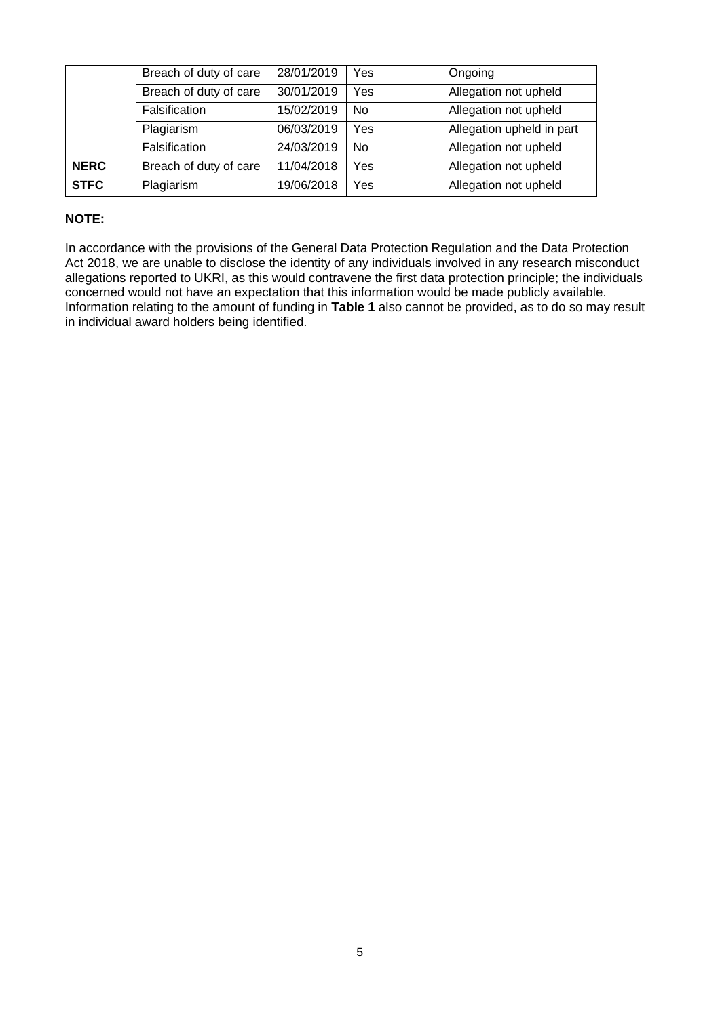|             | Breach of duty of care | 28/01/2019 | Yes       | Ongoing                   |
|-------------|------------------------|------------|-----------|---------------------------|
|             | Breach of duty of care | 30/01/2019 | Yes       | Allegation not upheld     |
|             | Falsification          | 15/02/2019 | <b>No</b> | Allegation not upheld     |
|             | Plagiarism             | 06/03/2019 | Yes       | Allegation upheld in part |
|             | Falsification          | 24/03/2019 | No.       | Allegation not upheld     |
| <b>NERC</b> | Breach of duty of care | 11/04/2018 | Yes       | Allegation not upheld     |
| <b>STFC</b> | Plagiarism             | 19/06/2018 | Yes       | Allegation not upheld     |

## **NOTE:**

In accordance with the provisions of the General Data Protection Regulation and the Data Protection Act 2018, we are unable to disclose the identity of any individuals involved in any research misconduct allegations reported to UKRI, as this would contravene the first data protection principle; the individuals concerned would not have an expectation that this information would be made publicly available. Information relating to the amount of funding in **Table 1** also cannot be provided, as to do so may result in individual award holders being identified.